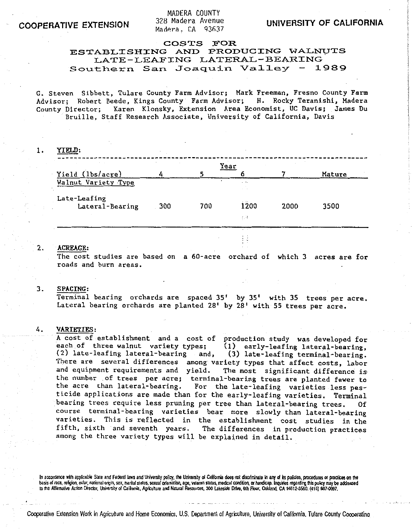MADERA COUNTY 328 Madera Avenue Madera. CA 93637

## COSTS FOR

# ESTABLISHING AND PRODUCING WALNVTS LATE-LEAFING LATERAL-BEARING<br>thern San Joaquin Valley - 1989 Southern San Joaquin Valley -

G. Steven Sibbett, Tulare County Farm Advisor; Mark Freeman, Fresno County Farm<br>Advisor: Robert Beede. Kings County Farm Advisor; H. Rocky Teranishi, Madera Advisor; Robert Beede, Kings County Farm Advisor; County Director; Karen Klonsky, Extension Area Economist, UC Davis; James Du Bruille, Staff Research Associate, University of California, Davis

1. YIELD:

| $\sim$              |     |     | Year            |      |        |
|---------------------|-----|-----|-----------------|------|--------|
| Yield (1bs/acre)    |     |     |                 |      | Mature |
| Walnut Variety Type |     |     | $\cdot$ $\cdot$ |      |        |
| Late-Leafing        |     |     | 1200            |      |        |
| Lateral-Bearing     | 300 | 700 |                 | 2000 | 3500   |
|                     |     |     | 4,44            |      |        |
|                     |     |     | $\sim$          |      |        |

## 2. ACREAGE:

The cost studies are based on a 60-acre orchard of which 3 acres are for roads and burn areas.

#### 3. SPACING:

Terminal bearing orchards are spaced  $35'$  by  $35'$  with  $35$  trees per acre. Lateral bearing orchards are planted  $28'$  by  $28'$  with 55 trees per acre.

#### 4. VARIETIES:

A cost of establishment and a cost of production study was developed for each of three walnut variety types; **(1)** early-leafing lateral-bearing, (3) late-leafing terminal-bearing. There are several differences among variety types that affect costs, labor<br>and equipment requirements and yield. The most significant difference is The most significant difference is the number of trees per acre; terminal-bearing trees are planted fewer to<br>the acre than lateral-bearing. For the late-leafing varieties less pes-For the late-leafing varieties less pesticide applications are made than for the early-leafing varieties. Terminal bearing trees require less pruning per tree than lateral-bearing trees. Of course terminal-bearing varieties bear more slowly than lateral-bearing varieties. This is reflected in the establishment cost studies in the<br>fifth, sixth and seventh years. The differences in production practices The differences in production practices among the three variety types will be explained in detail.

In accordance with applicable State and Federal laws and University policy, the University of California does not discriminate in any of its policies, procedures or practices on the basis of race, religion, color, national origin, sex, marital status, sexual orientation, age, veteran status, medical condition, or handicap. Inquiries regarding this policy may be addressed to the Aftirmative Action Director, University of Calilomia, Agriculture and Natural Resources, 300 Lakeside Drive, 6th Floor, Oakland, CA 94612-3560. (415) 987-0097.

Cooperative Extension Work in Agriculture and Home Economics, U.S. Department of Agriculture, University of California, Tulare County Cooperatino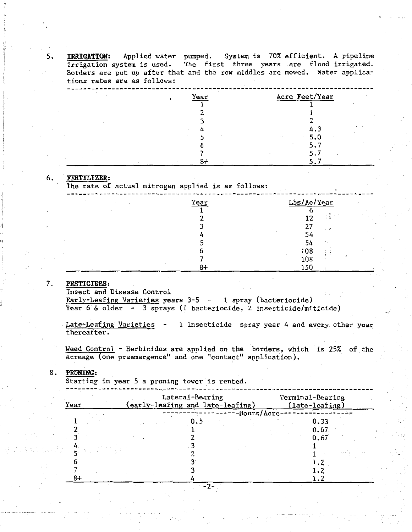5. **IRRIGATION:** Applied water pumped. System is 70% efficient. A pipeline irrigation system is used. The first three years are flood irrigated. Borders are put up after that and the row middles are mowed. Water applications rates are as follows:

| Year | Acre Feet/Year    |
|------|-------------------|
|      |                   |
|      |                   |
|      |                   |
|      | 4.3<br>1.1        |
|      | 5.0<br>$\sim$ 100 |
|      | 5.7               |
|      | 5.7               |
| Ω-1  |                   |

#### 6. **:FERTILIZER:**

The rate of actual nitrogen applied is as follows:

| $\epsilon$<br>$\sim$ | Year | Lbs/Ac/Year                                      |
|----------------------|------|--------------------------------------------------|
|                      |      |                                                  |
|                      |      | -11<br>12<br>主号                                  |
|                      |      | 27<br>$\mathcal{I} \subseteq \mathcal{U}$        |
|                      |      | $\overline{\phantom{a}}$<br>$\sim$<br>54         |
|                      |      | 54<br>٠<br>$\sim$                                |
|                      |      | $\cdot$ $\cdot$<br>108<br>$\cdot$ $\cdot$<br>÷ - |
|                      |      | $\cdot$ .<br>÷.<br>108<br>$\cdots$               |
|                      |      | 150<br>$\epsilon$                                |

### **7. PESTICIDES:**

Insect and Disease Control

Early-Leafing Varieties years 3-5 - 1 spray (bacteriocide) Year 6 & older - 3 sprays (1 bacteriocide, 2 insecticide/miticide)

Late-Leafing Varieties - 1 insecticide spray year 4 and every other year thereafter.

Weed Control - Herbicides are applied on the borders, which is 25% of the acreage (one preemergence" and one "contact" application).

## 8 • **PRUNING:**

Starting in year 5 a pruning tower is rented.

| Year | Lateral-Bearing<br>(early-leafing and late-leafing) | Terminal-Bearing<br>(late-leafing) |  |
|------|-----------------------------------------------------|------------------------------------|--|
|      | -Hours/Acre                                         | 0.33<br>0.67                       |  |
|      |                                                     | 0.67                               |  |
|      |                                                     |                                    |  |
| 8+   |                                                     |                                    |  |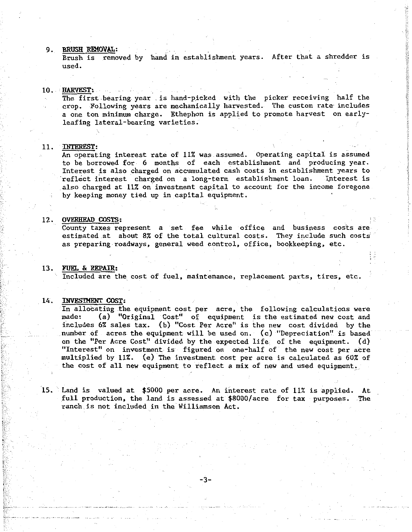#### 9. BRUSH REMOVAL:

Brush is removed by hand in establishment years. After that a shredder is used.

#### 10. HARVEST:

The first bearing year . is hand-picked with the picker receiving half the crop. Following years are mechanically harvested. The custom rate includes a one ton minimum charge. Ethephon is applied to promote harvest on earlyleafing lateral-bearing varieties.

## 11. INTEREST:

An operating interest rate of 11% was assumed. Operating capital is assumed to be borrowed for 6 months of each establishment and producing year. Interest is also charged on accumulated cash costs in establishment years to reflect interest charged on a long-term establishment loan. Interest is also charged at 11% on investment capital to account for the income foregone by keeping money tied up in capital equipment.

#### 12. OVERHEAD COSTS:

County taxes represent a set fee while office and business costs are estimated at about 8% of the total cultural **costs.** They include such **costs:**  as preparing roadways, general weed **control,** office, bookkeeping, etc.

## 13. FUEL & REPAIR:

Included are the cost of fuel, maintenance, replacement parts, tires, etc.

### 14. INVESTMENT COST:

In allocating the equipment cost per acre, the following calculations were made: (a) "Original Cost" of equipment is the estimated new cost and (a) "Original Cost" of equipment is the estimated new cost and includes 6% sales tax. (b) "Cost Per Acre" is the new cost divided by the number of acres the equipment will be used on. (c) "Depreciation'' is based on the "Per Acre Cost" divided by the expected life. of the equipment.  $(d)$ "Interest" on investment is figured on one-half of the new cost per acre multiplied by 11%. (e) The investment cost per acre is calculated as 60% of the cost of all new equipment to reflect a mix of new and used equipment\_.

15. Land is valued at \$5000 per acre. An interest rate of 11% is applied. At full production, the land is assessed at \$8000/acre for tax purposes. The ranch.is not included in the Williamson Act.

-3-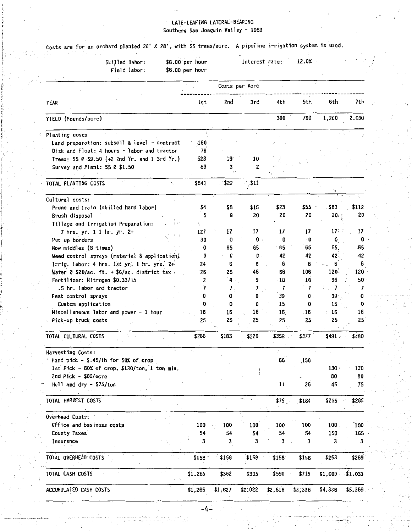# LATE-LEAFING LATERAL-BEARING **Southern San Joaquin Valley - 1989**

|                                | Skilled labor:<br>Field labor:                |    | \$8.00 per hour<br>\$6.00 per hour |                 | Interest rate: |               | 12.0%     |                  |                 |
|--------------------------------|-----------------------------------------------|----|------------------------------------|-----------------|----------------|---------------|-----------|------------------|-----------------|
|                                |                                               |    |                                    |                 | Costs per Acre |               |           |                  |                 |
| YEAR                           |                                               |    | lst.                               | 2nd             | 3rd            | 4th           | 5th       | 6th              | 7th             |
| YIELD (Pounds/acre)            |                                               |    |                                    |                 |                | 300           | 700       | 1,200            | 2,000           |
| Planting costs                 |                                               |    |                                    |                 |                |               |           |                  |                 |
|                                | Land preparation: subsoil & level - contract  |    | -160                               |                 |                |               |           |                  |                 |
|                                | Disk and Float: 4 hours - labor and tractor   |    | 76                                 |                 |                |               |           |                  |                 |
|                                | Trees: 55 0 \$9.50 (+2 2nd Yr. and 1 3rd Yr.) |    | 523                                | 19 <sup>°</sup> | 10             |               |           |                  |                 |
| Survey and Plant: 55 @ \$1.50  |                                               |    | 83                                 | 3               | 2              |               |           |                  |                 |
|                                |                                               |    |                                    |                 |                |               |           |                  |                 |
| TOTAL PLANTING COSTS           |                                               |    | \$841                              | \$22            | , \$11         |               |           |                  |                 |
| Cultural costs:                |                                               |    |                                    |                 |                |               |           |                  |                 |
|                                | Prune and train (skilled hand labor)          |    | \$4                                | \$8             | \$15           | \$23          | \$55      | \$83             | \$112           |
| Brush disposal                 |                                               |    | 5                                  | 9               | 20             | 20            | 20        | 20.              | 20 <sup>1</sup> |
|                                |                                               |    |                                    |                 |                |               |           |                  |                 |
|                                | Tillage and Irrigation Preparation:           | 主称 |                                    |                 |                |               |           |                  |                 |
| 7 hrs. yr. 1 1 hr. yr. 2+      |                                               | ΕĄ | 127                                | 17              | 17             | 17            | 17        | 17:              | 17              |
| Put up borders                 |                                               |    | 30                                 | 0               | 0              | 0             | $\cdot$ 0 | $\mathbf{0}$     | 0               |
| Mow middles (B times)          |                                               |    | 0                                  | 65              | 65             | 65.           | 65        | 65.              | -65             |
|                                | Weed control sprays (material & application)  |    | 0                                  | 0               | 0              | 42            | 42        | 42.              | 42              |
|                                | Irrig. labor: 4 hrs. 1st yr. 1 hr. yrs. 2+    |    | 24                                 | 6               | 6              | 6             | 6         | Б                | 6               |
|                                | Water @ \$20/ac. ft. + \$6/ac. district tax   |    | 26                                 | 26              | 46             | 66            | 106       | 120 <sup>1</sup> | 120             |
| Fertilizer: Nitrogen \$0.33/lb |                                               |    | ۰Z                                 | 4               | 9              | 18            | 18        | 30               | 50              |
| .5 hr. labor and tractor       |                                               |    | 7                                  | 7               | 7              | 7             | 7         | 7                | 7               |
| Pest control sprays            |                                               |    | 0                                  | 0               | 0              | 39            | 0         | $39 -$           | 0               |
| Custom application             |                                               |    | 0                                  | 0               | 0              | 15            | 0         | 15               | 0               |
|                                | Miscellaneous labor and power - 1 hour        |    | 16                                 | 16              | 16             | 16            | 16        | 16               | 16              |
| Pick-up truck costs            |                                               |    | 25                                 | 25              | 25             | 25            | 25        | 25               | 25              |
|                                |                                               |    |                                    |                 |                |               |           |                  |                 |
| TOTAL CULTURAL COSTS           |                                               |    | \$266                              | \$183           | \$226          | \$359         | \$377     | \$491            | \$480           |
| Harvesting Costs:              |                                               |    |                                    |                 |                |               |           |                  |                 |
|                                | Hand pick $-$ \$.45/1b for 50% of crop        |    |                                    |                 |                | 68            | 158       |                  |                 |
|                                | 1st Pick - 80% of crop. \$130/ton. 1 ton min. |    |                                    |                 |                |               |           | 130              | 130             |
| 2nd Pick - \$80/acre           |                                               |    |                                    |                 |                |               |           | 80               | 80              |
| Hull and dry - $$75/ton$       |                                               |    |                                    |                 |                | $\mathbf{11}$ | 26        | 45               | 75              |
| TOTAL HARVEST COSTS            |                                               |    |                                    |                 |                | \$79          | \$184     | \$255            | \$285           |
| Overhead Costs:                |                                               |    |                                    |                 |                |               |           |                  |                 |
| Office and business costs      |                                               |    | 100                                | 100             | 100            | 100           | 100       | 100              | 100             |
|                                |                                               |    | 54                                 | 54              | 54             | 54            | 54        | 150              | 165             |
| County Taxes                   |                                               |    | 3                                  |                 | 3              | 3             | 3         | 3                | 3               |
|                                |                                               |    |                                    | 3,              |                |               |           |                  |                 |
| Insurance                      |                                               |    |                                    |                 |                |               |           |                  |                 |
| TOTAL OVERHEAD COSTS           |                                               |    | \$158                              | \$158           | \$158          | \$158         | \$158     | \$253            | \$269           |
| TOTAL CASH COSTS               |                                               |    | \$1,265                            | \$362           | \$395          | \$596         | \$719     | \$1,000.         | \$1,033         |

-4-

 $\sim$ 

- -·--·---··----···-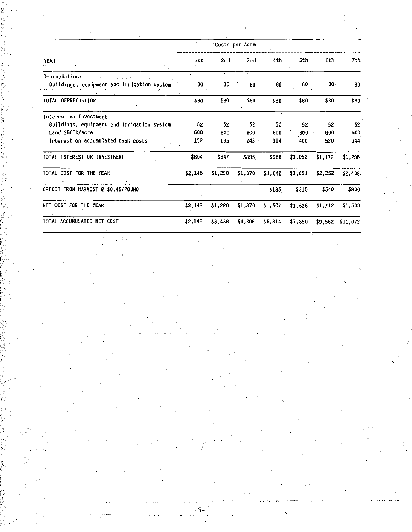|                                                                             |            |            | 'Costs per Acre |            |            |            |            |
|-----------------------------------------------------------------------------|------------|------------|-----------------|------------|------------|------------|------------|
| <b>YEAR</b>                                                                 | 1st        | 2nd        | 3rd             | 4th        | 5th        | 6th        | 7th        |
| Oepreciation:<br>والمدام والم<br>Buildings, equipment and irrigation system | 80         | c.<br>80   | 80              | 80         | 80         | 80.        | 80         |
| TOTAL OEPRECIATION                                                          | \$80       | \$80       | \$80            | \$80       | \$80       | \$80       | \$80       |
| Interest on Investment<br>Buildings, equipment and irrigation system        | 52         | 52         | 52              | 52.        | 52         | 52         | 52         |
| Land \$5000/acre<br>Interest on accumulated cash costs                      | 600<br>152 | 600<br>195 | 600<br>243      | 600<br>314 | 600<br>400 | 600<br>520 | 600<br>644 |
| TOTAL INTEREST ON INVESTMENT                                                | \$804      | \$847      | \$895           | \$966      | \$1,052    | \$1,172    | \$1,296    |
| TOTAL COST FOR THE YEAR                                                     | \$2,148    | \$1,290    | \$1,370         | \$1,642    | \$1,851    | \$2,252    | \$2,409    |
| CREOIT FROM HARVEST @ \$0.45/POUNO                                          |            |            |                 | \$135      | \$315      | \$540      | \$900      |
| i h<br>NET COST FOR THE YEAR                                                | \$2,148    | \$1,290    | \$1,370         | \$1,507    | \$1,536    | \$1,712    | \$1,509    |
| TOTAL ACCUMULATED NET COST                                                  | \$2,148    | \$3,438    | \$4,808         | \$6,314    | \$7,850    | \$9,562    | \$11,072   |

-5-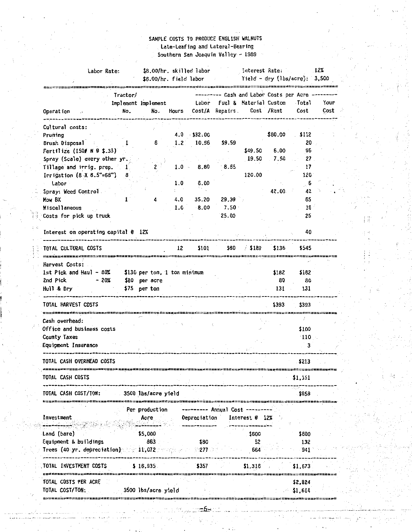# SAMPLE COSTS TO PRODUCE ENGLISH WALNUTS **Late-Leafing and lateral-Bearing**  Southern San Joaquin Valley - 1989

| Labor Rate:                                                     |          | \$8.00/hr. skilled labor |         |                |                   | Interest Rate:                                    |         |               | $12\%$ |
|-----------------------------------------------------------------|----------|--------------------------|---------|----------------|-------------------|---------------------------------------------------|---------|---------------|--------|
|                                                                 |          |                          |         |                |                   |                                                   |         |               |        |
|                                                                 | Tractor/ |                          |         |                |                   | --------- Cash and Labor Costs per Acre --------- |         |               |        |
|                                                                 |          | Implement Implement      |         |                |                   | Labor Fuel & Material Custom                      |         | Total         | Your   |
| Operation                                                       | No.      | No.                      | Hours   |                |                   | Cost/A Repairs Cost /Rent                         |         | Cost          | Cost   |
|                                                                 |          |                          |         |                |                   |                                                   |         |               |        |
| Cultural costs:                                                 |          |                          |         |                |                   |                                                   |         |               |        |
| Pruning                                                         |          |                          |         | $4.0$ $532.00$ |                   |                                                   | \$80.00 | \$112         |        |
| Brush Disposal                                                  |          | 6                        | 1.2     | 10.56          | \$9.59            |                                                   |         | 20            |        |
| Fertilize (150# N @ \$.33)                                      |          |                          |         |                |                   | \$49.50                                           | 6.00    | 56            |        |
| Spray (Scale) every other yr.                                   |          |                          |         |                |                   | 19.50                                             | 7.50    | 27            |        |
| Tillage and irrig. prep. 1                                      |          | 2                        | $1.0 -$ | 8.80           | 8.55              |                                                   |         | 17            |        |
| Irrigation $(8 \times 8.5" = 68")$ 8                            |          |                          |         |                |                   | 120.00                                            |         | 120           |        |
| Labor                                                           |          |                          | 1:0     | 6.00           |                   |                                                   |         | $\mathbf{6}$  |        |
| Spray: Weed Control                                             |          |                          |         |                |                   |                                                   | 42.00   | 42            |        |
| Mow BX                                                          |          | 4                        | 4.0     | 35.20          | 29.39             |                                                   |         | 65            |        |
| <b>Miscellaneous</b>                                            |          |                          | 1.0     | 8.00           | 7.50 <sub>1</sub> |                                                   |         | 16            |        |
| Costs for pick up truck                                         |          |                          |         |                | 25.00             |                                                   |         | 25            |        |
|                                                                 |          |                          |         |                |                   |                                                   |         |               |        |
| Interest on operating capital @ 12%                             |          |                          |         |                |                   |                                                   |         | 40            |        |
| ------------------------                                        |          |                          |         |                |                   |                                                   |         |               |        |
| TOTAL CULTURAL COSTS                                            |          |                          | 12      | \$101          | 580               | / \$189                                           | \$136   | \$545         |        |
| <b>Harvest Costs:</b>                                           |          |                          |         |                |                   |                                                   |         |               |        |
| 1st Pick and Haul $-80\frac{2}{1}$ \$130 per ton, 1 ton minimum |          |                          |         |                |                   |                                                   | \$182   | \$182         |        |
| - 20%<br>2nd Pick                                               |          | \$80 per acre            |         |                |                   |                                                   | 80      | 80            |        |
| Hull & Dry                                                      |          | \$75 per ton             |         |                |                   |                                                   | 131     | 131           |        |
|                                                                 |          |                          |         |                |                   |                                                   |         |               |        |
| TOTAL HARVEST CDSTS                                             |          |                          |         |                |                   |                                                   | \$393   | \$393         |        |
|                                                                 |          |                          |         |                |                   |                                                   |         |               |        |
| Cash overhead:                                                  |          |                          |         |                |                   |                                                   |         |               |        |
| Office and business costs                                       |          |                          |         |                |                   |                                                   |         | \$100         |        |
| County Taxes                                                    |          |                          |         |                |                   |                                                   |         | 110           |        |
| Equipment Insurance                                             |          |                          |         |                |                   |                                                   |         | - 3           |        |
|                                                                 |          |                          |         |                |                   |                                                   |         |               |        |
| TOTAL CASH OVERHEAD COSTS                                       |          |                          |         |                |                   |                                                   |         | \$213         |        |
|                                                                 |          |                          |         |                |                   |                                                   |         |               |        |
| TOTAL CASH COSTS                                                |          |                          |         |                |                   |                                                   |         | \$1,151       |        |
|                                                                 |          |                          |         |                |                   |                                                   |         |               |        |
| TOTAL CASH COST/TON:                                            |          | 3500 lbs/acre yield      |         |                |                   |                                                   |         | \$658         |        |
|                                                                 |          |                          |         |                | ================= |                                                   |         | zawczestczecz |        |
|                                                                 |          | Per production           |         |                | -- Annual Cost    |                                                   |         |               |        |
| Investment                                                      |          | Асге                     |         | Depreciation   |                   | Interest @                                        | - 12%   |               |        |
|                                                                 |          |                          |         |                |                   |                                                   |         |               |        |
| Land (bare)                                                     |          | \$5,000                  |         |                |                   | \$600                                             |         | \$600         |        |
| Equipment & buildings                                           |          | 863                      |         | \$80           |                   | 52                                                |         | 132           |        |
| Trees (40 yr. depreciation)                                     |          | $= 11,072$               |         | :277           |                   | 664                                               |         | 941           |        |
|                                                                 |          |                          |         |                |                   |                                                   |         |               |        |
|                                                                 |          |                          |         |                |                   |                                                   |         |               |        |
|                                                                 |          | \$16,935                 |         | \$357          |                   | \$1,316                                           |         | \$1.673       |        |
| TOTAL INVESTMENT COSTS<br><b>TOTAL COSTS PER ACRE</b>           |          |                          |         |                |                   |                                                   |         | \$2,824       |        |

ŧΨ

a.

ţ

 $\bar{z}$  ):

·6-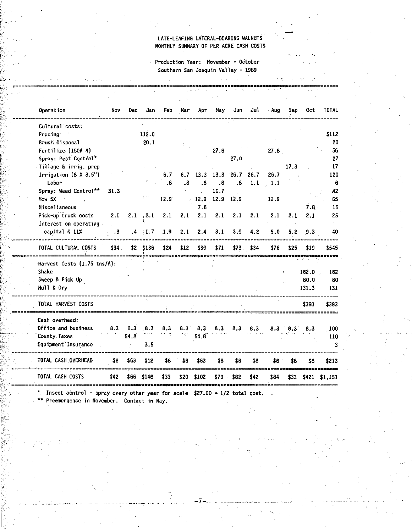## LATE-LEAFING LATERAL-BEARING WALNUTS MONTHLY SUMMARY OF PER ACRE CASH COSTS

**Production Year: November - OCtober**  Southern San Joaquin Valley - 1989

 $\sim$ 

=============================================================================================.=~=========::::======

**Operation** Nov Dec Jan Feb Har Apr May Jun Jul ·Aug Sep Oct TOTAL \_\_\_\_\_\_\_\_\_\_\_\_\_\_\_\_\_\_\_\_\_\_\_\_\_\_\_\_\_\_ . \_\_\_\_\_\_\_\_\_\_\_\_\_\_\_\_\_\_\_\_\_\_\_\_\_\_\_\_\_\_\_\_\_\_\_\_\_\_\_\_\_\_\_\_\_\_\_\_\_\_\_\_\_\_\_\_\_\_\_\_\_\_\_\_\_ .;,. \_\_\_\_\_\_\_\_\_\_\_\_\_\_\_\_ Cultural **costs: Pruning'** 112.0 \$112 **Brush Disposal** 20.1 20 **Fert i 1 ize** (150# N) 27.8 27 .8. 56 **Spray: Pest Cqnti'ol\*** 27.0 27 Tillage & **irrig. prep** 17.3 17 **Irrigation (8 X 8.5") 6.7 6.7 6.7 13.3 13.3 26.7 26.7 26.7 120 Labor** .8 .8 .8 .8 .8 1.1 1.1 6 **Spray: Weed Control\*\* 31.3 10.7 A2** How 5X 12.9 12.9 12.9 12.9 12.9 65 **Miscellaneous** 7 .8 7.8 16 **Pick-up-truck costs** 2.1 2.1 '4.1 2.1 2.1 2.1 2.1 2.1 2.1 2.1 2.1 2.1 25 **Interest on operating** . **capital** @ 11% .3 .4 'l.7 1.9 2.1 2.4 3.1 3.9 4.2 5.0 5.2 9.3 40 TOTAL CULTURAL COSTS \$34 \$2 \$136 \$24 \$12 \$39 \$71 \$73 \$34 \$76 \$25 \$19 \$545 =============================================~,,..:;=============================c====••c=========================== Harvest Costs (1.75 tns/A): Sweep & Pick Up Hull & Dry 182.0 80.0 131.3

182 80 131

3

---------------------------------------------~------------------------------------------------------------------ TOTAL HARVEST COSTS \$393 \$393 =============================================================================--================================== **Cash overhead: Office and business**  100 8.3 8.3 .8.3 8.3 8.3 8.3 8.3 8.3 8.3 8.3 8.3 8.3 **County Taxes**   $\mathcal{A}_{\mathbf{q}}$  ? 54.8 54.8 110 3.5 **Equipment Insurance**  TOTAL CASH.OVERHEAD \$8 \$8 \$8 \$213 \$8 \$63 \$12 \$8 \$8 \$63 \$8 \$8 \$8 بديوند مد ees: -----TOTAL CASH COSTS \$42 \$66 \$148 \$33 \$20 \$102 \$79 \$82 \$42 \$84 \$33 \$421 \$1,151 '================================================================================================================

\* **Insect control - spray every other year for scale \$27.00 = 1/2 total cost.** 

\*\* **Preemergence in November. Contact 1n May.** 

 $\mathbb{S}_+$  .

 $\mathbb{R}$  .

Shake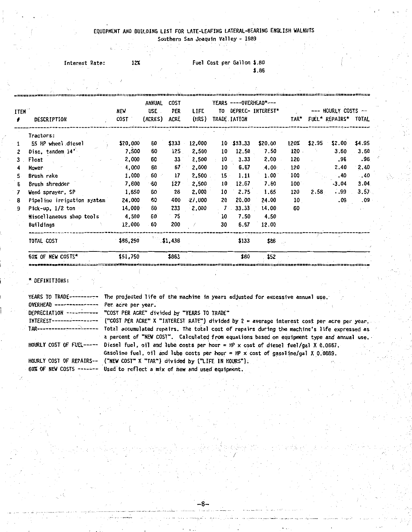#### EQUIPMENT ANO BUILDING LIST FOR LATE-LEAFING LATERAL-BEARING ENGLISH WALNUTS **Southern San Joaquin Valley - 1989**

|  |  | SOUTIETH SON ADOUBLIL TOTICI |  |  |  |
|--|--|------------------------------|--|--|--|
|  |  |                              |  |  |  |

| Interest Rate: | 12% |  | Fuel Cost per Gallon \$.80 |       |
|----------------|-----|--|----------------------------|-------|
|                |     |  |                            | \$.86 |

|             |                            |             | ANNUAL  | <b>COST</b> |           |              |              | YEARS ----OVERHEAD*--- |             |          |                      |          |
|-------------|----------------------------|-------------|---------|-------------|-----------|--------------|--------------|------------------------|-------------|----------|----------------------|----------|
| <b>ITEN</b> |                            | new         | USE.    | PER         | LIFE      |              |              | TO DEPREC- INTEREST*   |             |          | --- HOURLY COSTS --  |          |
| €.          | <b>DESCRIPTION</b>         | <b>COST</b> | (ACRES) | ACRE        | (HRS)     |              | TRADE IATION |                        | TAR*        |          | FUEL* REPAIRS* TOTAL |          |
|             | Tractors:                  |             |         |             |           |              |              |                        |             |          |                      |          |
|             | 55 HP wheel diesel         | \$20,000    | 60      | \$333       | 12,000    |              | $10$ \$33.33 | \$20.00                | 120%        | \$2.95   | \$2.00               | \$4.95   |
| 2           | Disc, tandem 14"           | 7.500       | 60      | 125         | 2,500     | $10^{\circ}$ | 12.50        | 7.50                   | 120         |          | 3.60                 | 3.60     |
| 3           | Float                      | 2,000       | 60      | 33          | 2,500     | 10           | 3.33         | 2.00                   | 120         |          | .96                  | .96      |
|             | Mover                      | 4,000       | 60      | $67 -$      | 2,000     | 10           | 6.67         | $4.00 -$               | 120         |          | 2.40                 | 2.40     |
| 5.          | Brush rake                 | 1,000       | 60      | 17          | 2,500     | $15 -$       | 1:11         | 1.00                   | 100         |          | .40                  | $-40$    |
| 6.          | Brush shredder             | 7,600       | -60     | 127         | 2,500     | 10           | 12.67        | 7.60                   | $100^\circ$ |          | .3.04                | 3.04     |
|             | Weed sprayer, SP           | 1,650       | 60      | 28          | 2,000     | 10           | 2.75         | 1.65                   | 120         | $2.58 -$ | .99                  | $3.57 -$ |
| 8           | Pipeline irrigation system | 24,000      | 60      | 400         | $-27.000$ | 20           | 20.00        | 24.00                  | 10          |          | .09                  | .09      |
| 9           | Pick-up, 1/2 ton           | 14,000      | 60      | 233         | 2,000     | $7 -$        | 33.33        | 14.00.                 | 60          |          |                      |          |
|             | Miscellaneous shop tools   | 4,500       | 60      | $-75$       |           | 10           | 7.50         | 4.50                   |             |          |                      |          |
|             | Buildings                  | 12,000      | 60      | 200         |           | 30           | 6.67         | 12.00                  |             |          |                      |          |
|             | TOTAL COST                 | \$86,250    |         | \$1,43B     |           |              | \$133        | \$86                   |             |          |                      |          |
|             | 60% OF NEW COSTS*          | \$51,750    |         | \$863       |           |              | \$80         | \$52                   |             |          |                      |          |

\* DEFINITIONS:

**YEARS TO** TRADE--------~- **The projected life of the machine in years adjusted for excessfve annual use.**  OVERHEAD--------------- Per acre per year. DEPRECIATION -----~----- "COST PER ACRE" divided by "YEARS TO TRADE" INTEREST---------------- ("COST PER ACRE" X "INTEREST RATE~) divided by 2 = average interest cost per acre per year. **TAR----------------'------ Total accumulated repairs. The to-tal cost of repairs during the machine's life expressed as a percent of "NEW COST". Calculateq from equations based on equipment type and annual use.** - HOURLY COST OF FUEL----- Diesel fuel, oil and lube costs per hour= HP x cost of diesel fuel/gal X 0.0667. Gasoline fuel, oil and lube costs per hour = HP x cost of gasoline/gal X 0.0889. HOURLY COST OF REPAIRS-- ("NEW COST" X "TAR") divided by ("LIFE IN HOURS"). 60% OF NEW COSTS ------- Used to reflect a mix of new and used equipment.

-8-